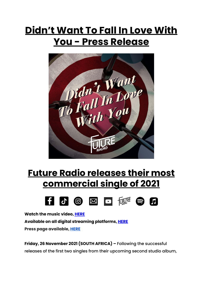## **Didn't Want To Fall In Love With You - Press Release**



## **Future Radio releases their most commercial single of 2021**



**Watch the music video, [HERE](https://youtu.be/TnkO4g843S0) Available on all digital streaming platforms, [HERE](https://distrokid.com/hyperfollow/futureradio/didnt-want-to-fall-in-love-with-you-radio-edit) Press page available, [HERE](https://futureradioband.co.za/press-3/)**

**Friday, 26 November 2021 (SOUTH AFRICA) –** Following the successful releases of the first two singles from their upcoming second studio album,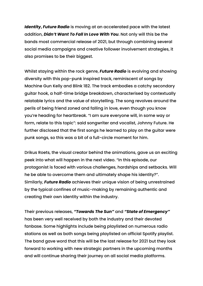*Identity***,** *Future Radio* is moving at an accelerated pace with the latest addition, *Didn't Want To Fall In Love With You*. Not only will this be the bands most commercial release of 2021, but through combining several social media campaigns and creative follower involvement strategies, it also promises to be their biggest.

Whilst staying within the rock genre, *Future Radio* is evolving and showing diversity with this pop-punk inspired track, reminiscent of songs by Machine Gun Kelly and Blink 182. The track embodies a catchy secondary guitar hook, a half-time bridge breakdown, characterised by contextually relatable lyrics and the value of storytelling. The song revolves around the perils of being friend zoned and falling in love, even though you know you're heading for heartbreak. "I am sure everyone will, in some way or form, relate to this topic": said songwriter and vocalist, Johnny Future. He further disclosed that the first songs he learned to play on the guitar were punk songs, so this was a bit of a full-circle moment for him.

Drikus Roets, the visual creator behind the animations, gave us an exciting peek into what will happen in the next video. "In this episode, our protagonist is faced with various challenges, hardships and setbacks. Will he be able to overcome them and ultimately shape his identity?". Similarly, *Future Radio* achieves their unique vision of being unrestrained by the typical confines of music-making by remaining authentic and creating their own identity within the industry.

Their previous releases, *"Towards The Sun"* and *"State of Emergency"* has been very well received by both the industry and their devoted fanbase. Some highlights include being playlisted on numerous radio stations as well as both songs being playlisted on official Spotify playlist. The band gave word that this will be the last release for 2021 but they look forward to working with new strategic partners in the upcoming months and will continue sharing their journey on all social media platforms.